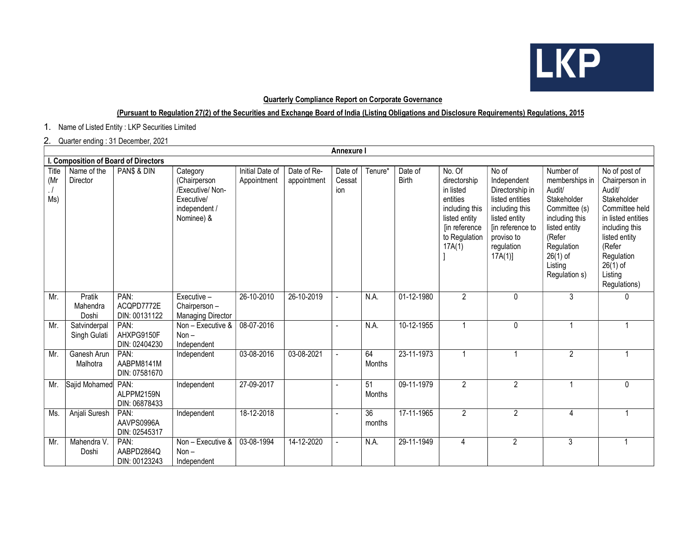

## Quarterly Compliance Report on Corporate Governance

## (Pursuant to Regulation 27(2) of the Securities and Exchange Board of India (Listing Obligations and Disclosure Requirements) Regulations, 2015

1. Name of Listed Entity : LKP Securities Limited

## 2. Quarter ending : 31 December, 2021

|                                      | Annexure I                   |                                     |                                                                                           |                                |                            |                          |              |                         |                                                                                                                                |                                                                                                                                                         |                                                                                                                                                                            |                                                                                                                                                                                                      |
|--------------------------------------|------------------------------|-------------------------------------|-------------------------------------------------------------------------------------------|--------------------------------|----------------------------|--------------------------|--------------|-------------------------|--------------------------------------------------------------------------------------------------------------------------------|---------------------------------------------------------------------------------------------------------------------------------------------------------|----------------------------------------------------------------------------------------------------------------------------------------------------------------------------|------------------------------------------------------------------------------------------------------------------------------------------------------------------------------------------------------|
| I. Composition of Board of Directors |                              |                                     |                                                                                           |                                |                            |                          |              |                         |                                                                                                                                |                                                                                                                                                         |                                                                                                                                                                            |                                                                                                                                                                                                      |
| Title<br>(Mr<br>$\cdot$ /<br>Ms)     | Name of the<br>Director      | PAN\$ & DIN                         | Category<br>(Chairperson<br>/Executive/ Non-<br>Executive/<br>independent /<br>Nominee) & | Initial Date of<br>Appointment | Date of Re-<br>appointment | Date of<br>Cessat<br>ion | Tenure*      | Date of<br><b>Birth</b> | No. Of<br>directorship<br>in listed<br>entities<br>including this<br>listed entity<br>[in reference<br>to Regulation<br>17A(1) | No of<br>Independent<br>Directorship in<br>listed entities<br>including this<br>listed entity<br>[in reference to<br>proviso to<br>regulation<br>17A(1) | Number of<br>memberships in<br>Audit/<br>Stakeholder<br>Committee (s)<br>including this<br>listed entity<br>(Refer<br>Regulation<br>$26(1)$ of<br>Listing<br>Regulation s) | No of post of<br>Chairperson in<br>Audit/<br>Stakeholder<br>Committee held<br>in listed entities<br>including this<br>listed entity<br>(Refer<br>Regulation<br>$26(1)$ of<br>Listing<br>Regulations) |
| Mr.                                  | Pratik<br>Mahendra<br>Doshi  | PAN:<br>ACQPD7772E<br>DIN: 00131122 | Executive -<br>Chairperson -<br><b>Managing Director</b>                                  | 26-10-2010                     | 26-10-2019                 |                          | N.A.         | 01-12-1980              | $\overline{a}$                                                                                                                 | $\mathbf{0}$                                                                                                                                            | 3                                                                                                                                                                          | 0                                                                                                                                                                                                    |
| Mr.                                  | Satvinderpal<br>Singh Gulati | PAN:<br>AHXPG9150F<br>DIN: 02404230 | Non - Executive &<br>Non $-$<br>Independent                                               | 08-07-2016                     |                            |                          | N.A.         | 10-12-1955              | $\overline{1}$                                                                                                                 | $\pmb{0}$                                                                                                                                               |                                                                                                                                                                            | 1                                                                                                                                                                                                    |
| Mr.                                  | Ganesh Arun<br>Malhotra      | PAN:<br>AABPM8141M<br>DIN: 07581670 | Independent                                                                               | 03-08-2016                     | 03-08-2021                 |                          | 64<br>Months | 23-11-1973              | $\overline{1}$                                                                                                                 | 1                                                                                                                                                       | $\overline{2}$                                                                                                                                                             | $\mathbf{1}$                                                                                                                                                                                         |
| Mr.                                  | Sajid Mohamed PAN:           | ALPPM2159N<br>DIN: 06878433         | Independent                                                                               | 27-09-2017                     |                            |                          | 51<br>Months | 09-11-1979              | $\overline{2}$                                                                                                                 | $\overline{2}$                                                                                                                                          |                                                                                                                                                                            | 0                                                                                                                                                                                                    |
| Ms.                                  | Anjali Suresh                | PAN:<br>AAVPS0996A<br>DIN: 02545317 | Independent                                                                               | 18-12-2018                     |                            |                          | 36<br>months | 17-11-1965              | $\overline{2}$                                                                                                                 | $\overline{2}$                                                                                                                                          | 4                                                                                                                                                                          | $\overline{1}$                                                                                                                                                                                       |
| Mr.                                  | Mahendra V.<br>Doshi         | PAN:<br>AABPD2864Q<br>DIN: 00123243 | Non - Executive &<br>$Non -$<br>Independent                                               | 03-08-1994                     | 14-12-2020                 |                          | N.A.         | 29-11-1949              | 4                                                                                                                              | $\overline{2}$                                                                                                                                          | 3                                                                                                                                                                          |                                                                                                                                                                                                      |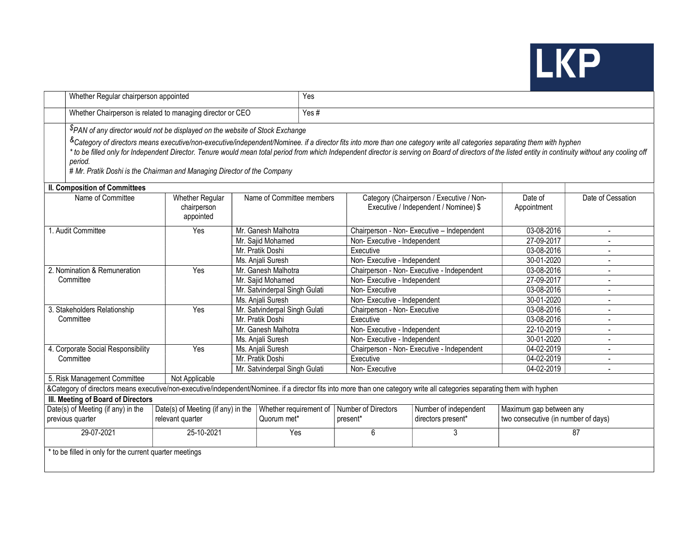

|                                                                                                                                                                                                                                                                                                                                                                                                                                                                             | Whether Regular chairperson appointed                                         |                               |  |                                                          | Yes                                                                               |                                                                |                          |  |  |  |  |
|-----------------------------------------------------------------------------------------------------------------------------------------------------------------------------------------------------------------------------------------------------------------------------------------------------------------------------------------------------------------------------------------------------------------------------------------------------------------------------|-------------------------------------------------------------------------------|-------------------------------|--|----------------------------------------------------------|-----------------------------------------------------------------------------------|----------------------------------------------------------------|--------------------------|--|--|--|--|
|                                                                                                                                                                                                                                                                                                                                                                                                                                                                             | Whether Chairperson is related to managing director or CEO                    |                               |  |                                                          | Yes#                                                                              |                                                                |                          |  |  |  |  |
|                                                                                                                                                                                                                                                                                                                                                                                                                                                                             | \$PAN of any director would not be displayed on the website of Stock Exchange |                               |  |                                                          |                                                                                   |                                                                |                          |  |  |  |  |
| &Category of directors means executive/non-executive/independent/Nominee. if a director fits into more than one category write all categories separating them with hyphen<br>* to be filled only for Independent Director. Tenure would mean total period from which Independent director is serving on Board of directors of the listed entity in continuity without any cooling off<br>period.<br># Mr. Pratik Doshi is the Chairman and Managing Director of the Company |                                                                               |                               |  |                                                          |                                                                                   |                                                                |                          |  |  |  |  |
| <b>II. Composition of Committees</b>                                                                                                                                                                                                                                                                                                                                                                                                                                        |                                                                               |                               |  |                                                          |                                                                                   |                                                                |                          |  |  |  |  |
| Name of Committee                                                                                                                                                                                                                                                                                                                                                                                                                                                           | Whether Regular<br>chairperson<br>appointed                                   | Name of Committee members     |  |                                                          | Category (Chairperson / Executive / Non-<br>Executive / Independent / Nominee) \$ | Date of<br>Appointment                                         | Date of Cessation        |  |  |  |  |
| 1. Audit Committee                                                                                                                                                                                                                                                                                                                                                                                                                                                          | Yes                                                                           | Mr. Ganesh Malhotra           |  |                                                          | Chairperson - Non- Executive - Independent                                        | 03-08-2016                                                     | $\sim$                   |  |  |  |  |
|                                                                                                                                                                                                                                                                                                                                                                                                                                                                             |                                                                               | Mr. Sajid Mohamed             |  |                                                          | Non-Executive - Independent                                                       |                                                                | $\overline{a}$           |  |  |  |  |
|                                                                                                                                                                                                                                                                                                                                                                                                                                                                             |                                                                               | Mr. Pratik Doshi              |  | Executive                                                |                                                                                   |                                                                | $\overline{a}$           |  |  |  |  |
|                                                                                                                                                                                                                                                                                                                                                                                                                                                                             |                                                                               | Ms. Anjali Suresh             |  | Non-Executive - Independent                              |                                                                                   | 30-01-2020<br>03-08-2016                                       | $\mathbf{r}$             |  |  |  |  |
| 2. Nomination & Remuneration                                                                                                                                                                                                                                                                                                                                                                                                                                                | Yes                                                                           | Mr. Ganesh Malhotra           |  |                                                          | Chairperson - Non- Executive - Independent                                        |                                                                |                          |  |  |  |  |
| Committee                                                                                                                                                                                                                                                                                                                                                                                                                                                                   |                                                                               | Mr. Sajid Mohamed             |  |                                                          | Non-Executive - Independent                                                       |                                                                | $\overline{\phantom{a}}$ |  |  |  |  |
|                                                                                                                                                                                                                                                                                                                                                                                                                                                                             |                                                                               | Mr. Satvinderpal Singh Gulati |  | Non-Executive                                            |                                                                                   |                                                                |                          |  |  |  |  |
|                                                                                                                                                                                                                                                                                                                                                                                                                                                                             |                                                                               | Ms. Anjali Suresh             |  | Non-Executive - Independent                              |                                                                                   | 30-01-2020                                                     |                          |  |  |  |  |
| 3. Stakeholders Relationship                                                                                                                                                                                                                                                                                                                                                                                                                                                | Yes                                                                           | Mr. Satvinderpal Singh Gulati |  | Chairperson - Non- Executive                             |                                                                                   | 03-08-2016<br>03-08-2016                                       |                          |  |  |  |  |
| Committee                                                                                                                                                                                                                                                                                                                                                                                                                                                                   |                                                                               | Mr. Pratik Doshi              |  | Executive                                                | Non-Executive - Independent                                                       |                                                                |                          |  |  |  |  |
|                                                                                                                                                                                                                                                                                                                                                                                                                                                                             |                                                                               | Mr. Ganesh Malhotra           |  |                                                          |                                                                                   |                                                                | $\overline{a}$           |  |  |  |  |
|                                                                                                                                                                                                                                                                                                                                                                                                                                                                             |                                                                               | Ms. Anjali Suresh             |  |                                                          | Non-Executive - Independent                                                       |                                                                | $\overline{a}$           |  |  |  |  |
| 4. Corporate Social Responsibility                                                                                                                                                                                                                                                                                                                                                                                                                                          | Yes                                                                           | Ms. Anjali Suresh             |  |                                                          | Chairperson - Non- Executive - Independent                                        | 04-02-2019                                                     |                          |  |  |  |  |
| Committee                                                                                                                                                                                                                                                                                                                                                                                                                                                                   |                                                                               | Mr. Pratik Doshi              |  | Executive                                                |                                                                                   | 04-02-2019                                                     |                          |  |  |  |  |
|                                                                                                                                                                                                                                                                                                                                                                                                                                                                             | Mr. Satvinderpal Singh Gulati                                                 |                               |  | Non-Executive                                            |                                                                                   | 04-02-2019                                                     |                          |  |  |  |  |
| 5. Risk Management Committee<br>Not Applicable                                                                                                                                                                                                                                                                                                                                                                                                                              |                                                                               |                               |  |                                                          |                                                                                   |                                                                |                          |  |  |  |  |
| &Category of directors means executive/non-executive/independent/Nominee. if a director fits into more than one category write all categories separating them with hyphen                                                                                                                                                                                                                                                                                                   |                                                                               |                               |  |                                                          |                                                                                   |                                                                |                          |  |  |  |  |
| III. Meeting of Board of Directors                                                                                                                                                                                                                                                                                                                                                                                                                                          |                                                                               |                               |  |                                                          |                                                                                   |                                                                |                          |  |  |  |  |
| Date(s) of Meeting (if any) in the<br>previous quarter                                                                                                                                                                                                                                                                                                                                                                                                                      | Date(s) of Meeting (if any) in the<br>Quorum met*<br>relevant quarter         |                               |  | Whether requirement of   Number of Directors<br>present* | Number of independent<br>directors present*                                       | Maximum gap between any<br>two consecutive (in number of days) |                          |  |  |  |  |
| 29-07-2021                                                                                                                                                                                                                                                                                                                                                                                                                                                                  | 25-10-2021<br>Yes                                                             |                               |  | 6                                                        | 3                                                                                 |                                                                | $\overline{87}$          |  |  |  |  |
| * to be filled in only for the current quarter meetings                                                                                                                                                                                                                                                                                                                                                                                                                     |                                                                               |                               |  |                                                          |                                                                                   |                                                                |                          |  |  |  |  |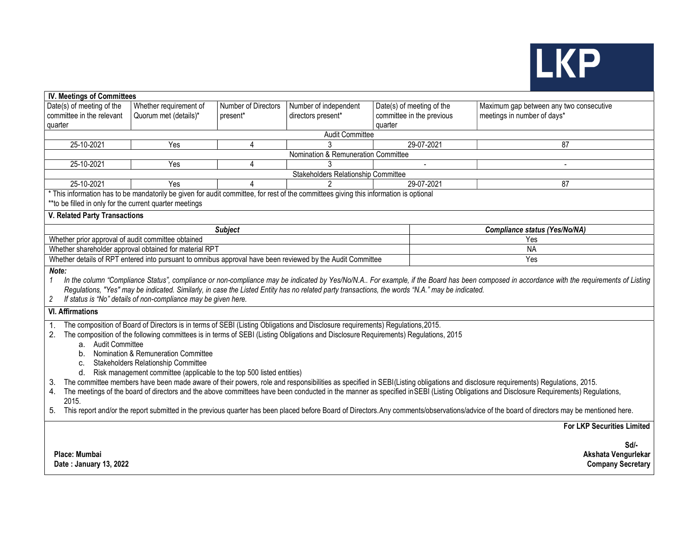

| <b>IV. Meetings of Committees</b>                                                                                                                                                                                                                                                                                                                                                                                                                                                                                                                                                                                                                                                                                                                                                                                                                                                                                                                                                                                                                                                            |                                                        |                     |                                                                                                                                       |                           |                                         |  |  |  |  |  |
|----------------------------------------------------------------------------------------------------------------------------------------------------------------------------------------------------------------------------------------------------------------------------------------------------------------------------------------------------------------------------------------------------------------------------------------------------------------------------------------------------------------------------------------------------------------------------------------------------------------------------------------------------------------------------------------------------------------------------------------------------------------------------------------------------------------------------------------------------------------------------------------------------------------------------------------------------------------------------------------------------------------------------------------------------------------------------------------------|--------------------------------------------------------|---------------------|---------------------------------------------------------------------------------------------------------------------------------------|---------------------------|-----------------------------------------|--|--|--|--|--|
| Date(s) of meeting of the                                                                                                                                                                                                                                                                                                                                                                                                                                                                                                                                                                                                                                                                                                                                                                                                                                                                                                                                                                                                                                                                    | Whether requirement of                                 | Number of Directors | Number of independent                                                                                                                 | Date(s) of meeting of the | Maximum gap between any two consecutive |  |  |  |  |  |
| committee in the relevant                                                                                                                                                                                                                                                                                                                                                                                                                                                                                                                                                                                                                                                                                                                                                                                                                                                                                                                                                                                                                                                                    | Quorum met (details)*                                  | present*            | directors present*                                                                                                                    | committee in the previous | meetings in number of days*             |  |  |  |  |  |
| quarter                                                                                                                                                                                                                                                                                                                                                                                                                                                                                                                                                                                                                                                                                                                                                                                                                                                                                                                                                                                                                                                                                      | quarter                                                |                     |                                                                                                                                       |                           |                                         |  |  |  |  |  |
| <b>Audit Committee</b>                                                                                                                                                                                                                                                                                                                                                                                                                                                                                                                                                                                                                                                                                                                                                                                                                                                                                                                                                                                                                                                                       |                                                        |                     |                                                                                                                                       |                           |                                         |  |  |  |  |  |
| 25-10-2021                                                                                                                                                                                                                                                                                                                                                                                                                                                                                                                                                                                                                                                                                                                                                                                                                                                                                                                                                                                                                                                                                   | Yes                                                    | 4                   |                                                                                                                                       | 29-07-2021                | $\overline{87}$                         |  |  |  |  |  |
| Nomination & Remuneration Committee                                                                                                                                                                                                                                                                                                                                                                                                                                                                                                                                                                                                                                                                                                                                                                                                                                                                                                                                                                                                                                                          |                                                        |                     |                                                                                                                                       |                           |                                         |  |  |  |  |  |
| 25-10-2021                                                                                                                                                                                                                                                                                                                                                                                                                                                                                                                                                                                                                                                                                                                                                                                                                                                                                                                                                                                                                                                                                   | Yes                                                    | 4                   |                                                                                                                                       | $\overline{\phantom{a}}$  | $\blacksquare$                          |  |  |  |  |  |
|                                                                                                                                                                                                                                                                                                                                                                                                                                                                                                                                                                                                                                                                                                                                                                                                                                                                                                                                                                                                                                                                                              |                                                        |                     | Stakeholders Relationship Committee                                                                                                   |                           |                                         |  |  |  |  |  |
| 25-10-2021                                                                                                                                                                                                                                                                                                                                                                                                                                                                                                                                                                                                                                                                                                                                                                                                                                                                                                                                                                                                                                                                                   | Yes                                                    | 4                   |                                                                                                                                       | $29-07-2021$              | 87                                      |  |  |  |  |  |
| ** to be filled in only for the current quarter meetings                                                                                                                                                                                                                                                                                                                                                                                                                                                                                                                                                                                                                                                                                                                                                                                                                                                                                                                                                                                                                                     |                                                        |                     | * This information has to be mandatorily be given for audit committee, for rest of the committees giving this information is optional |                           |                                         |  |  |  |  |  |
| V. Related Party Transactions                                                                                                                                                                                                                                                                                                                                                                                                                                                                                                                                                                                                                                                                                                                                                                                                                                                                                                                                                                                                                                                                |                                                        |                     |                                                                                                                                       |                           |                                         |  |  |  |  |  |
|                                                                                                                                                                                                                                                                                                                                                                                                                                                                                                                                                                                                                                                                                                                                                                                                                                                                                                                                                                                                                                                                                              |                                                        | <b>Subject</b>      |                                                                                                                                       |                           | <b>Compliance status (Yes/No/NA)</b>    |  |  |  |  |  |
| Whether prior approval of audit committee obtained                                                                                                                                                                                                                                                                                                                                                                                                                                                                                                                                                                                                                                                                                                                                                                                                                                                                                                                                                                                                                                           |                                                        |                     |                                                                                                                                       |                           | Yes                                     |  |  |  |  |  |
|                                                                                                                                                                                                                                                                                                                                                                                                                                                                                                                                                                                                                                                                                                                                                                                                                                                                                                                                                                                                                                                                                              | Whether shareholder approval obtained for material RPT |                     |                                                                                                                                       |                           | <b>NA</b>                               |  |  |  |  |  |
|                                                                                                                                                                                                                                                                                                                                                                                                                                                                                                                                                                                                                                                                                                                                                                                                                                                                                                                                                                                                                                                                                              |                                                        |                     | Whether details of RPT entered into pursuant to omnibus approval have been reviewed by the Audit Committee                            |                           | Yes                                     |  |  |  |  |  |
| Note:<br>In the column "Compliance Status", compliance or non-compliance may be indicated by Yes/No/N.A For example, if the Board has been composed in accordance with the requirements of Listing<br>$\mathbf{1}$<br>Regulations, "Yes" may be indicated. Similarly, in case the Listed Entity has no related party transactions, the words "N.A." may be indicated.<br>If status is "No" details of non-compliance may be given here.<br>2<br><b>VI. Affirmations</b>                                                                                                                                                                                                                                                                                                                                                                                                                                                                                                                                                                                                                      |                                                        |                     |                                                                                                                                       |                           |                                         |  |  |  |  |  |
| The composition of Board of Directors is in terms of SEBI (Listing Obligations and Disclosure requirements) Regulations, 2015.<br>$\mathbf{1}$ .<br>The composition of the following committees is in terms of SEBI (Listing Obligations and Disclosure Requirements) Regulations, 2015<br>a. Audit Committee<br>Nomination & Remuneration Committee<br>b.<br>Stakeholders Relationship Committee<br>C.<br>Risk management committee (applicable to the top 500 listed entities)<br>d.<br>The committee members have been made aware of their powers, role and responsibilities as specified in SEBI(Listing obligations and disclosure requirements) Regulations, 2015.<br>З.<br>The meetings of the board of directors and the above committees have been conducted in the manner as specified in SEBI (Listing Obligations and Disclosure Requirements) Regulations,<br>4.<br>2015.<br>This report and/or the report submitted in the previous quarter has been placed before Board of Directors. Any comments/observations/advice of the board of directors may be mentioned here.<br>5. |                                                        |                     |                                                                                                                                       |                           |                                         |  |  |  |  |  |
|                                                                                                                                                                                                                                                                                                                                                                                                                                                                                                                                                                                                                                                                                                                                                                                                                                                                                                                                                                                                                                                                                              |                                                        |                     |                                                                                                                                       |                           | <b>For LKP Securities Limited</b>       |  |  |  |  |  |
| $Sd$ -<br>Place: Mumbai<br>Akshata Vengurlekar<br>Date: January 13, 2022<br><b>Company Secretary</b>                                                                                                                                                                                                                                                                                                                                                                                                                                                                                                                                                                                                                                                                                                                                                                                                                                                                                                                                                                                         |                                                        |                     |                                                                                                                                       |                           |                                         |  |  |  |  |  |